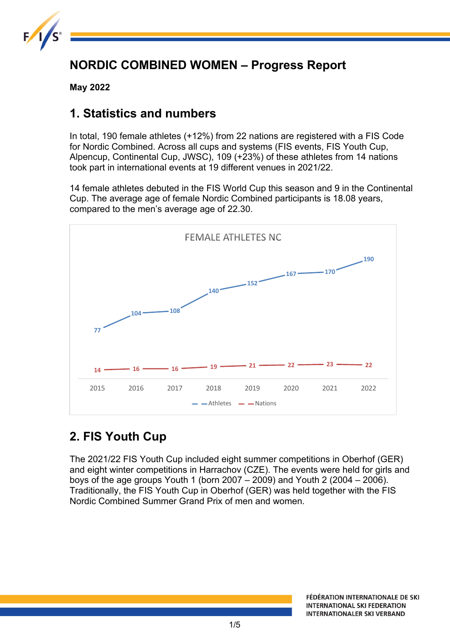

## **NORDIC COMBINED WOMEN – Progress Report**

**May 2022**

### **1. Statistics and numbers**

In total, 190 female athletes (+12%) from 22 nations are registered with a FIS Code for Nordic Combined. Across all cups and systems (FIS events, FIS Youth Cup, Alpencup, Continental Cup, JWSC), 109 (+23%) of these athletes from 14 nations took part in international events at 19 different venues in 2021/22.

14 female athletes debuted in the FIS World Cup this season and 9 in the Continental Cup. The average age of female Nordic Combined participants is 18.08 years, compared to the men's average age of 22.30.



# **2. FIS Youth Cup**

The 2021/22 FIS Youth Cup included eight summer competitions in Oberhof (GER) and eight winter competitions in Harrachov (CZE). The events were held for girls and boys of the age groups Youth 1 (born 2007 – 2009) and Youth 2 (2004 – 2006). Traditionally, the FIS Youth Cup in Oberhof (GER) was held together with the FIS Nordic Combined Summer Grand Prix of men and women.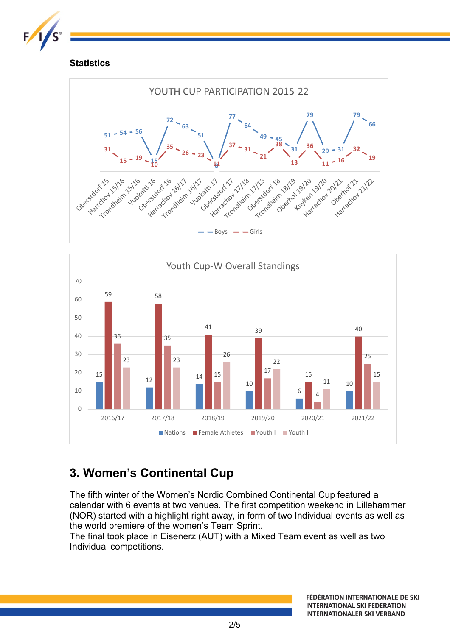

#### **Statistics**





# **3. Women's Continental Cup**

The fifth winter of the Women's Nordic Combined Continental Cup featured a calendar with 6 events at two venues. The first competition weekend in Lillehammer (NOR) started with a highlight right away, in form of two Individual events as well as the world premiere of the women's Team Sprint.

The final took place in Eisenerz (AUT) with a Mixed Team event as well as two Individual competitions.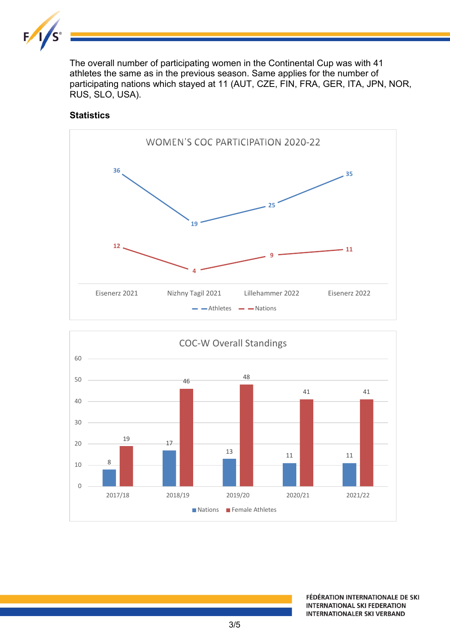

The overall number of participating women in the Continental Cup was with 41 athletes the same as in the previous season. Same applies for the number of participating nations which stayed at 11 (AUT, CZE, FIN, FRA, GER, ITA, JPN, NOR, RUS, SLO, USA).

#### **Statistics**



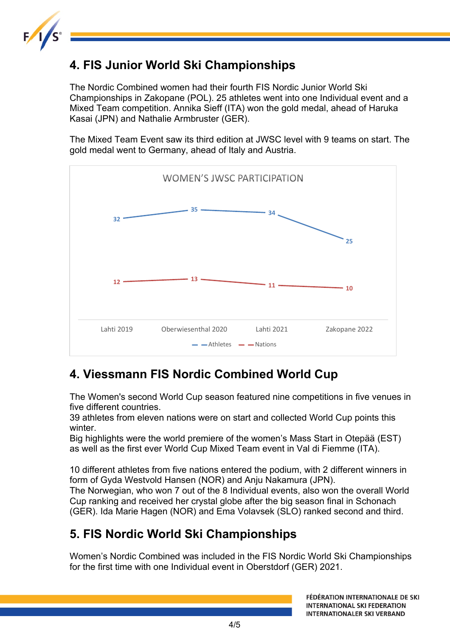

## **4. FIS Junior World Ski Championships**

The Nordic Combined women had their fourth FIS Nordic Junior World Ski Championships in Zakopane (POL). 25 athletes went into one Individual event and a Mixed Team competition. Annika Sieff (ITA) won the gold medal, ahead of Haruka Kasai (JPN) and Nathalie Armbruster (GER).

The Mixed Team Event saw its third edition at JWSC level with 9 teams on start. The gold medal went to Germany, ahead of Italy and Austria.



# **4. Viessmann FIS Nordic Combined World Cup**

The Women's second World Cup season featured nine competitions in five venues in five different countries.

39 athletes from eleven nations were on start and collected World Cup points this winter.

Big highlights were the world premiere of the women's Mass Start in Otepää (EST) as well as the first ever World Cup Mixed Team event in Val di Fiemme (ITA).

10 different athletes from five nations entered the podium, with 2 different winners in form of Gyda Westvold Hansen (NOR) and Anju Nakamura (JPN).

The Norwegian, who won 7 out of the 8 Individual events, also won the overall World Cup ranking and received her crystal globe after the big season final in Schonach (GER). Ida Marie Hagen (NOR) and Ema Volavsek (SLO) ranked second and third.

## **5. FIS Nordic World Ski Championships**

Women's Nordic Combined was included in the FIS Nordic World Ski Championships for the first time with one Individual event in Oberstdorf (GER) 2021.